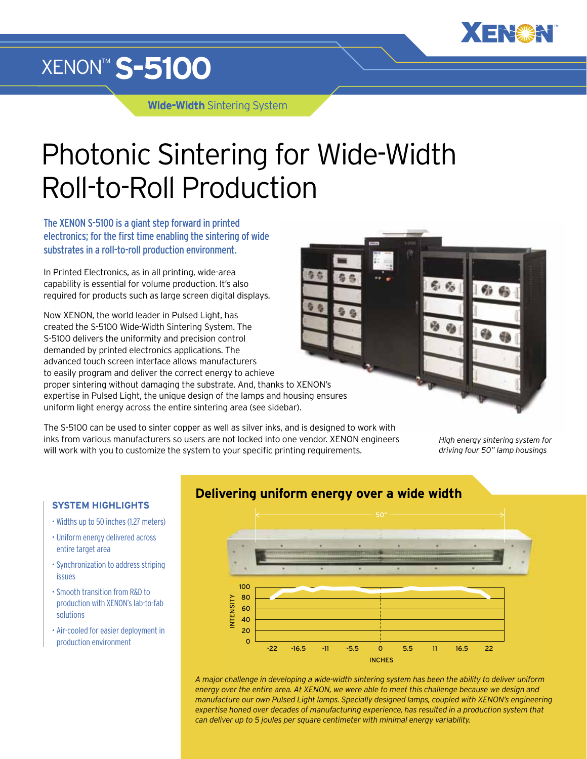

## XENON™ **S-5100**

**Wide-Width** Sintering System

# Photonic Sintering for Wide-Width Roll-to-Roll Production

The XENON S-5100 is a giant step forward in printed electronics; for the first time enabling the sintering of wide substrates in a roll-to-roll production environment.

In Printed Electronics, as in all printing, wide-area capability is essential for volume production. It's also required for products such as large screen digital displays.

Now XENON, the world leader in Pulsed Light, has created the S-5100 Wide-Width Sintering System. The S-5100 delivers the uniformity and precision control demanded by printed electronics applications. The advanced touch screen interface allows manufacturers to easily program and deliver the correct energy to achieve proper sintering without damaging the substrate. And, thanks to XENON's expertise in Pulsed Light, the unique design of the lamps and housing ensures uniform light energy across the entire sintering area (see sidebar).

The S-5100 can be used to sinter copper as well as silver inks, and is designed to work with inks from various manufacturers so users are not locked into one vendor. XENON engineers will work with you to customize the system to your specific printing requirements.

*High energy sintering system for driving four 50" lamp housings*

### **SYSTEM HIGHLIGHTS**

- Widths up to 50 inches (1.27 meters)
- Uniform energy delivered across entire target area
- Synchronization to address striping issues
- Smooth transition from R&D to production with XENON's lab-to-fab solutions
- Air-cooled for easier deployment in production environment





*A major challenge in developing a wide-width sintering system has been the ability to deliver uniform energy over the entire area. At XENON, we were able to meet this challenge because we design and manufacture our own Pulsed Light lamps. Specially designed lamps, coupled with XENON's engineering expertise honed over decades of manufacturing experience, has resulted in a production system that can deliver up to 5 joules per square centimeter with minimal energy variability.*